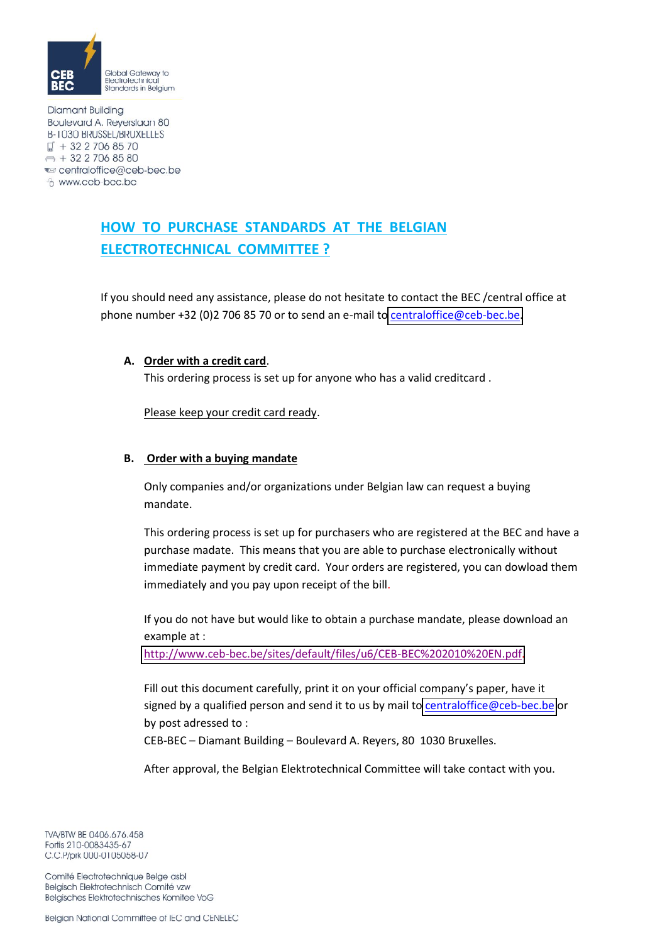

**Diamant Building** Boulevard A. Reyerslaan 80 **B-1030 BRUSSEL/BRUXELLES**  $\Box$  + 32 2 706 85 70  $\implies$  + 32 2 706 85 80 ₹ centraloffice@ceb-bec.be <sup>6</sup> www.ceb-bec.be

## **HOW TO PURCHASE STANDARDS AT THE BELGIAN ELECTROTECHNICAL COMMITTEE ?**

If you should need any assistance, please do not hesitate to contact the BEC /central office at phone number +32 (0)2 706 85 70 or to send an e-mail to centraloffice@ceb-bec.be.

## **A.** Order with a credit card.

This ordering process is set up for anyone who has a valid creditcard.

Please keep your credit card ready.

## **B.** Order with a buying mandate

Only companies and/or organizations under Belgian law can request a buying mandate.

This ordering process is set up for purchasers who are registered at the BEC and have a purchase madate. This means that you are able to purchase electronically without immediate payment by credit card. Your orders are registered, you can dowload them immediately and you pay upon receipt of the bill.

If you do not have but would like to obtain a purchase mandate, please download an example at :

http://www.ceb-bec.be/sites/default/files/u6/CEB-BEC%202010%20EN.pdf.

Fill out this document carefully, print it on your official company's paper, have it signed by a qualified person and send it to us by mail to centraloffice@ceb-bec.be or by post adressed to:

CEB-BEC - Diamant Building - Boulevard A. Reyers, 80 1030 Bruxelles.

After approval, the Belgian Elektrotechnical Committee will take contact with you.

TVA/BTW BE 0406.676.458 Fortis 210-0083435-67 C.C.P/prk 000-0105058-07

Comité Electrotechnique Belge asbl Belgisch Elektrotechnisch Comité vzw Belgisches Elektrotechnisches Komitee VoG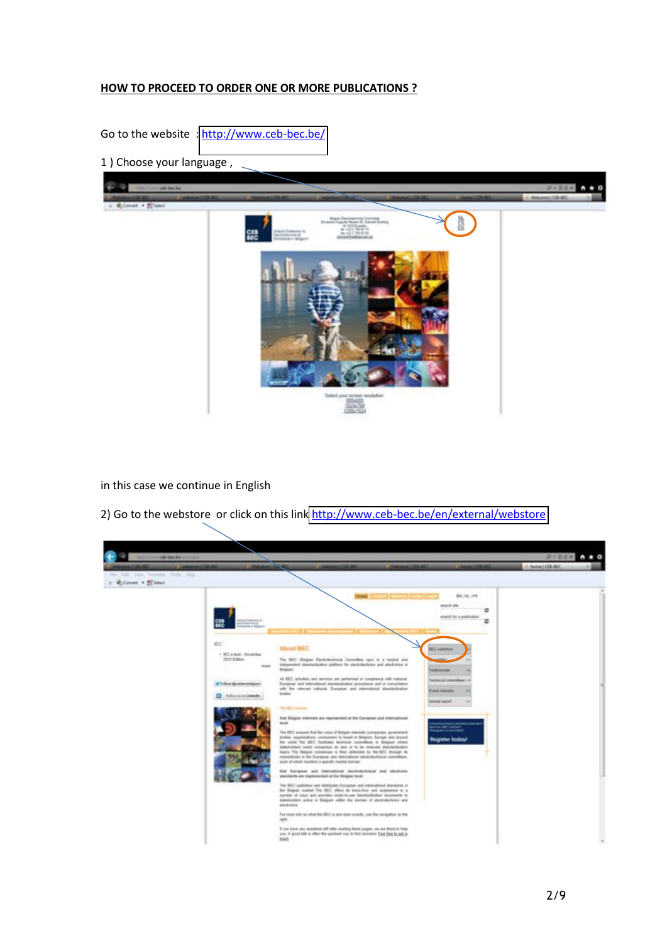## **HOW TO PROCEED TO ORDER ONE OR MORE PUBLICATIONS ?**

Go to the website : http://www.ceb-bec.be/

1) Choose your language,



in this case we continue in English

2) Go to the webstore or click on this link http://www.ceb-bec.be/en/external/webstore

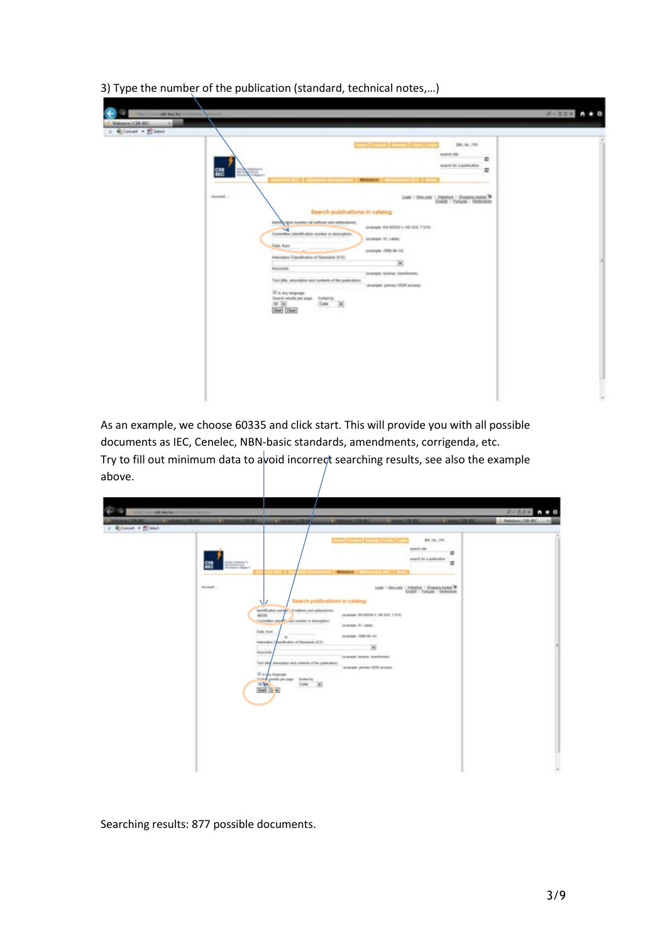| and I was County (1993) in<br><b>EN   HL   PR.</b><br>search elle<br>ø<br>exists for a publication.<br>ø<br>뙗<br>$\frac{1}{2}$<br>Webston C. Committee of the Committee                                                                                                                                                                                                                                                                                                                                                                                                                                                                                                                                          |
|------------------------------------------------------------------------------------------------------------------------------------------------------------------------------------------------------------------------------------------------------------------------------------------------------------------------------------------------------------------------------------------------------------------------------------------------------------------------------------------------------------------------------------------------------------------------------------------------------------------------------------------------------------------------------------------------------------------|
| <b>Rockett -</b><br>Manufacturer / Websiter / Streams Lease / New<br>.<br>Search publications in catalog<br>terms with the method of a property<br>(evange): EN 00204-1 HD-324, T-015)<br>r<br>Committee (dontR) about humber or meetiphini.<br>(avangin VI, cabe)<br><b>Custo, Noard</b><br>Grandel 1994-26-141<br>Internation Classification of Stevelants (ICS)<br>E<br><b>Fayerwith</b><br>interple lutilize Eurolienari<br>Text (the strengthen and contents of the publication)<br>countyle primary FDS access)<br>IT is any targetes<br>Deards results per page - Stellet by -<br>$\frac{50\quad\mathrm{[m]}}{\mathrm{[Saw]}}\frac{1}{\mathrm{[Gaw]}}$<br>B<br>Code.<br><b>SOUTH</b><br>- 14<br>45-50-0-0 |

3) Type the number of the publication (standard, technical notes,...)

As an example, we choose 60335 and click start. This will provide you with all possible documents as IEC, Cenelec, NBN-basic standards, amendments, corrigenda, etc.

Try to fill out minimum data to avoid incorrect searching results, see also the example above.

| and the local or an annual common    |                                                                                                                                          |                                                                                                                                                                                                                                                                              |                                                                                                                                                                                                                                                       |                                                                                                                                      | $P-ROX = A + O$    |
|--------------------------------------|------------------------------------------------------------------------------------------------------------------------------------------|------------------------------------------------------------------------------------------------------------------------------------------------------------------------------------------------------------------------------------------------------------------------------|-------------------------------------------------------------------------------------------------------------------------------------------------------------------------------------------------------------------------------------------------------|--------------------------------------------------------------------------------------------------------------------------------------|--------------------|
| 41008460<br>: @ Convert = 100 Select | <b>COMMUNICATION</b><br>L. L'Annuage L'Estrator                                                                                          | <b>COMMERCIAL</b>                                                                                                                                                                                                                                                            | L. Liberton LCCC dist.<br><b>LEWANGILLE</b>                                                                                                                                                                                                           | <b>IN CREAM COR RED</b>                                                                                                              | / Webstow LCER-REC |
|                                      | <b>BASICAL</b><br><b>Rockett -</b><br>ΝZ<br>×.<br>Attrib.<br>Date, from<br>Information D<br><b>Saysterio</b><br>10 V-<br><b>BMS 10 E</b> | <b>TELESTING</b><br>termination contains in administration<br>Committee country you hands or discriptions<br>×<br>positionize of Harmards (CE)<br>Text (the description and contents of the publication).<br>If is any terminate<br>The provide your page States by<br>Code: | <b>Sand Company (Tales)</b> (The<br>Webston E. San Film St.<br>Search publications in catalog<br>Improve EN 60204-1 HD S24, T-9151<br>complete ST, called<br>(anarigie: 1956-26-14).<br>固<br>(avangée luntile Yansforme)<br>University DER WORLD<br>固 | <b><i>EN1 HL   PR.</i></b><br>search site<br>ø<br>exact for a publication.<br>显<br>M. Sales J. Miller - Wilson's H. Discounts Leader |                    |
|                                      |                                                                                                                                          |                                                                                                                                                                                                                                                                              |                                                                                                                                                                                                                                                       |                                                                                                                                      | B                  |

Searching results: 877 possible documents.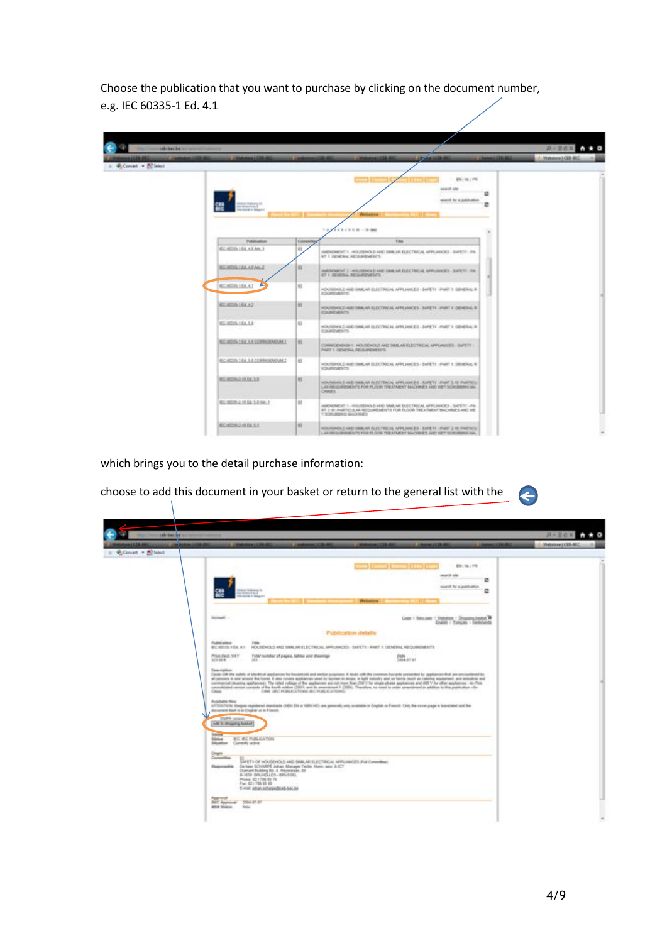Choose the publication that you want to purchase by clicking on the document number, e.g. IEC 60335-1 Ed. 4.1

| the County and San Income continues and                    |                                                               |                        |                                                                                                                                                                        |                                                                      |                       | B-BOX<br>$\bullet$ 0 |
|------------------------------------------------------------|---------------------------------------------------------------|------------------------|------------------------------------------------------------------------------------------------------------------------------------------------------------------------|----------------------------------------------------------------------|-----------------------|----------------------|
| Constatos (CRA 200)<br>41008-004<br>: @ Convert + ECSelect | L. LINNABAN FERRARD                                           | of constraining (1984) | <b>EXAMINE</b><br><b>CONSULTANTS IN THE</b>                                                                                                                            |                                                                      | C. Chemical Clift and | 1. Midsaton LCES-BEC |
|                                                            | 뺧<br>ally Perspective to a wide<br><b>Randolphin Bolgares</b> |                        | Webston                                                                                                                                                                | <b>EN   NL   FIL</b><br><b>MARCH ARE</b><br>wisech for a publication | ø<br>e                |                      |
|                                                            |                                                               |                        | <b>FRANK - 20 000</b>                                                                                                                                                  |                                                                      |                       |                      |
|                                                            | Fublication                                                   | Contact                | <b>Yita</b>                                                                                                                                                            |                                                                      |                       |                      |
|                                                            | EE 80005-1 Ed. 4.2 Am. 3                                      | ü.                     | MANDAMENTY, HOUSEHOLD AND TANK AR ELECTRICAL APPLINICES - SAPETY - PA<br>RT 1: OENERAL REGUMENENTS                                                                     |                                                                      |                       |                      |
|                                                            | BC 60006 EBA AEAH, Z                                          | ti.                    | HARVESTED J. HOUSEHOLD AND SHALAR ELECTRICAL APPLIERDES. SAPETY . PA<br>AT I GENERAL RECKARENENTS                                                                      |                                                                      |                       |                      |
|                                                            | A<br>ES.0005.104.4.1                                          | 91                     | FOUSDIOLD AND SWILLAR ELECTRICAL APPLIANCES - SAFETY - PART 1: GENERAL R.<br>ECONOMISTS.                                                                               |                                                                      |                       |                      |
|                                                            | EZ.0005-144.42                                                | 11                     | HOUSEHOLD AND THIALVA REECTRICAL APPLIANCES - SAFETY - PART Y GENERAL R.<br>EQUIPESHERTS                                                                               |                                                                      |                       |                      |
|                                                            | <b>BS 80005-1 BV 5-8</b>                                      | ti.                    | IE JARRES I TRAT VERSI - DENINGAL ARRAIGNMENT DAN CONTRACTED<br><b>EQUIRINENTS</b>                                                                                     |                                                                      |                       |                      |
|                                                            | BC 40005 1 Ex 1 4 CORRIGEROUM 1                               | l ex-                  | CONNOISSIOUN 1 - HOUSEHOLD AND SIMULAR BLECTRICAL APPLIANCES - SAFETY -<br>PART I GENERAL REGUIREMENTS                                                                 |                                                                      |                       |                      |
|                                                            | EC-92020-1 EAL 5.0 CORRIGATIOUM 2                             | 11                     | FOUSDROLD RISD SWILL ARE ELECTRICAL APPLIANCES - SAFETY - PART 1. SEMERAL &<br>EQUIRIESENTS*<br>지위의 반대 원화가 되고 있어?                                                      |                                                                      |                       |                      |
|                                                            | R1.800531514.53                                               | 93                     | HOUSEHOLD AND SANUAH ELECTRICAL APPLIANCES - SAPETY - FIART 2-RE PARTICUL<br>LAR REQUIREMENTS FOR FLOOR TREATMENT MACHINES AND VIET SCRUBBING MA<br>CHRIST.            |                                                                      |                       |                      |
|                                                            | EC.90005-2.10.DE.3-5.MH.T.                                    | 81                     | AMENDMENT 1 - HOUSEHOLD AND SIMILAR EUROTRICAL APPLIANCES - SAPETY - PA<br>RT 3-10 PHRTICULAR REQUIREMENTS FOR FLOOR TREATMENT MACHINES AND VIE.<br>T SCIURENC MICHIES |                                                                      |                       |                      |
|                                                            | RE40005.2 10 BL S.T.                                          | w                      | HOUSENOLD JIND SHIKAR FUECTIONAL APPLIANCES - SAPETY - PART 2-55 FARTNOLD<br>LAR REQUIREMENTS FOR FLOOR TREATMENT ANOTHER AND WE'T SCRUBBING MA.                       |                                                                      |                       |                      |

which brings you to the detail purchase information:

choose to add this document in your basket or return to the general list with the

| and then the man committee commit-<br><b>BANK ENTERN 400</b><br><b>COMMERCIAL CAR AD</b>                                                                                                                                                                                                                                                                                                                                                                                                                                                                                                                                                                                                                                                                      | 12030-0<br><b>COMMERCIAL COMPANY</b>                                               | <b>Lineswell CERA</b>                                                                   | <b>CRAMBERS</b>      | $B - B$ dx $A + 0$<br>/ Midlaton LCER-BEC |
|---------------------------------------------------------------------------------------------------------------------------------------------------------------------------------------------------------------------------------------------------------------------------------------------------------------------------------------------------------------------------------------------------------------------------------------------------------------------------------------------------------------------------------------------------------------------------------------------------------------------------------------------------------------------------------------------------------------------------------------------------------------|------------------------------------------------------------------------------------|-----------------------------------------------------------------------------------------|----------------------|-------------------------------------------|
| : @ Convert + EC Select                                                                                                                                                                                                                                                                                                                                                                                                                                                                                                                                                                                                                                                                                                                                       |                                                                                    |                                                                                         |                      |                                           |
|                                                                                                                                                                                                                                                                                                                                                                                                                                                                                                                                                                                                                                                                                                                                                               |                                                                                    | <b><i><u> Committee Committee (In 1989)</u></i></b>                                     | <b>EN   NL   FIL</b> |                                           |
|                                                                                                                                                                                                                                                                                                                                                                                                                                                                                                                                                                                                                                                                                                                                                               |                                                                                    | <b>MIRCE GRE</b>                                                                        | ø                    |                                           |
| An de desarra Vic<br>ALCOHOL:U.S                                                                                                                                                                                                                                                                                                                                                                                                                                                                                                                                                                                                                                                                                                                              |                                                                                    | search for a qualification.                                                             | e                    |                                           |
| <b>Randomic Children</b>                                                                                                                                                                                                                                                                                                                                                                                                                                                                                                                                                                                                                                                                                                                                      |                                                                                    |                                                                                         |                      |                                           |
|                                                                                                                                                                                                                                                                                                                                                                                                                                                                                                                                                                                                                                                                                                                                                               |                                                                                    |                                                                                         |                      |                                           |
| <b>Rockert -</b>                                                                                                                                                                                                                                                                                                                                                                                                                                                                                                                                                                                                                                                                                                                                              |                                                                                    | Lisan   Telesiane: 1, Walterlam, 1 Shopping banket, 74<br>Codish / Compas / Switchfalds |                      |                                           |
|                                                                                                                                                                                                                                                                                                                                                                                                                                                                                                                                                                                                                                                                                                                                                               | Publication details                                                                |                                                                                         |                      |                                           |
| PUMPLICKING<br><b>Title</b><br><b><i>BC 65115 / Ed. 4.1</i></b>                                                                                                                                                                                                                                                                                                                                                                                                                                                                                                                                                                                                                                                                                               | HOUSEHOUS AND SIMILAR ELECTRICAL HPPLANCES - SAFETY - PART II GENERAL REQUIREMENTS |                                                                                         |                      |                                           |
| PINON ISSUE, WAT<br>Foto/number of papes, tables and drawings<br>323.00 4.<br>2000.000                                                                                                                                                                                                                                                                                                                                                                                                                                                                                                                                                                                                                                                                        |                                                                                    | Debi-<br>2004-07-07                                                                     |                      |                                           |
| Description.<br>Deals with the salidy of electrical applament for mosabiliti and coolar purposes. It deals with the comment-fusceris presented by applament that are environmental for<br>all persons in and around the home. If also covers appliances veed by exmen in shops, in light industry and on farms joint an coloring equipment, and industrial and<br>commercial clearing appliances). The reted rollage of the appliances are not more than 250 V for strate phase appliances and 800 V for other appliances. Hor This<br>consoliciated venture constitu of the fourth subtice (2001) and its amendment 1 (2004). Therefore, no meet to order amendment in addition to this publication, clar<br>CRR (BC PUBLICATIONS ID) PUBLICATIONS:<br>Close |                                                                                    |                                                                                         |                      |                                           |
| Available files:<br>ATTENTION Student registered standards (MRI) ES or 1859 (KS) are personly unto argited/a in English or French, Civit Bie cover pape is bankrated and Bie-                                                                                                                                                                                                                                                                                                                                                                                                                                                                                                                                                                                 |                                                                                    |                                                                                         |                      |                                           |
| similarment than I'm in English at in Francis.                                                                                                                                                                                                                                                                                                                                                                                                                                                                                                                                                                                                                                                                                                                |                                                                                    |                                                                                         |                      |                                           |
| <b>ENFR verson</b><br>CARE to shopping basket                                                                                                                                                                                                                                                                                                                                                                                                                                                                                                                                                                                                                                                                                                                 |                                                                                    |                                                                                         |                      |                                           |
| <b>THE PARK</b><br><b><i>BC BC PUBLICATION</i></b>                                                                                                                                                                                                                                                                                                                                                                                                                                                                                                                                                                                                                                                                                                            |                                                                                    |                                                                                         |                      |                                           |
| <b>Sister</b><br>Situation Commity active                                                                                                                                                                                                                                                                                                                                                                                                                                                                                                                                                                                                                                                                                                                     |                                                                                    |                                                                                         |                      |                                           |
| Origin<br>Committee                                                                                                                                                                                                                                                                                                                                                                                                                                                                                                                                                                                                                                                                                                                                           |                                                                                    |                                                                                         |                      |                                           |
| De haw SCHARPE Johan, Manager Texter, News, Jani: S.ICT<br>Responsible<br>Diamark Rubbing Bd. A. Premirikan, 33<br>8,1000 BRUDELLES  BELIEVES<br>Phone 10 / 706 03 76<br>Fac. (2) (736-35-63)                                                                                                                                                                                                                                                                                                                                                                                                                                                                                                                                                                 | SANTY OF HOUSEHOLD AND SAMUAR ELECTRICAL ARPUSANCES PULCANHOMIC                    |                                                                                         |                      |                                           |
| E-mak joban acharaxidicati has be                                                                                                                                                                                                                                                                                                                                                                                                                                                                                                                                                                                                                                                                                                                             |                                                                                    |                                                                                         |                      |                                           |
|                                                                                                                                                                                                                                                                                                                                                                                                                                                                                                                                                                                                                                                                                                                                                               |                                                                                    |                                                                                         |                      |                                           |

O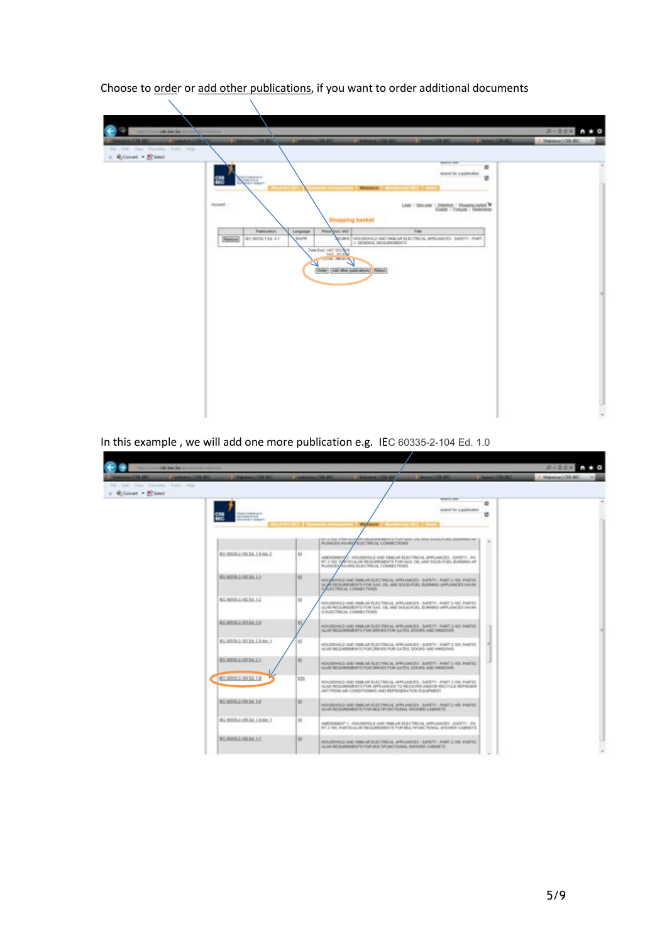**A-BOX A+0 Electric A. Weston (CD-**)  $\pm$  *Q* Conset =  $\frac{1}{200}$  Select w  $rac{8}{2}$ 皩 Main - Stevalent - Wilshire - Showing Apple To opping heaket  $1444$ Milanon<br>CR-FSS-4  $\overline{a}$ **MUNTELE** RE HOLDINGLO AND TA  $\frac{1}{\sqrt{2}}$ **The Car as parents** 

Choose to order or add other publications, if you want to order additional documents

In this example, we will add one more publication e.g. IEC 60335-2-104 Ed. 1.0

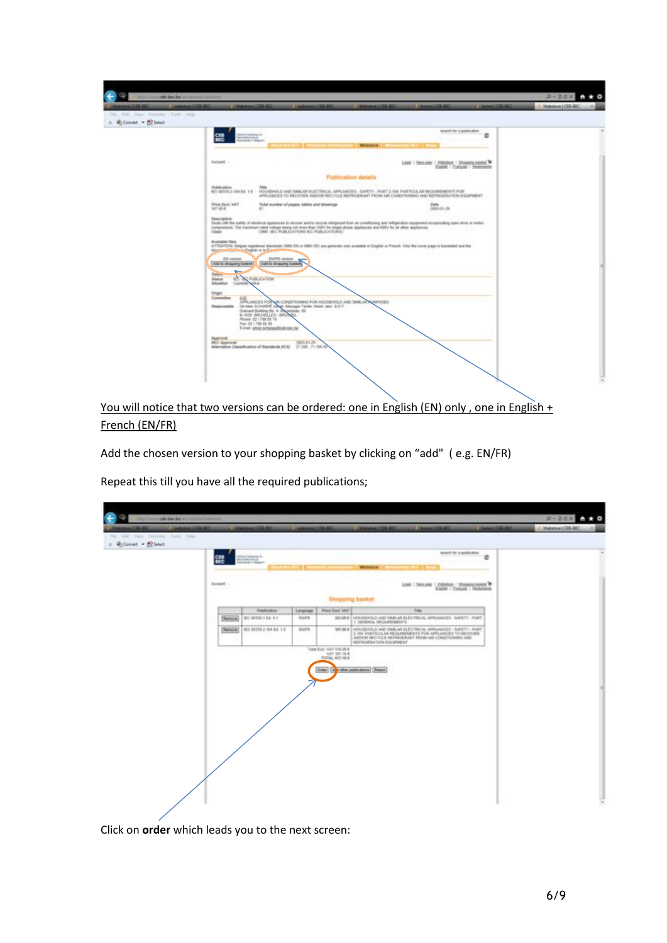|                                                                                                                                                    | at Lindaway Ha<br>$\frac{1}{2} \frac{\partial \phi}{\partial x^2} + \frac{1}{2} \frac{\partial \phi}{\partial y^2} + \frac{1}{2} \frac{\partial \phi}{\partial x^2} + \frac{1}{2} \frac{\partial \phi}{\partial y^2} + \frac{1}{2} \frac{\partial \phi}{\partial y^2} + \frac{1}{2} \frac{\partial \phi}{\partial y^2} + \frac{1}{2} \frac{\partial \phi}{\partial y^2} + \frac{1}{2} \frac{\partial \phi}{\partial y^2} + \frac{1}{2} \frac{\partial \phi}{\partial y^2} + \frac{1}{2} \frac{\partial \phi}{\partial y^2} + \frac{1}{2} \frac{\$                                                                                                                                                                                                                                                                                                                                                                                                                                                                                                     |                                                                                                                                                                                                 | search for a publication                         | e |  |
|----------------------------------------------------------------------------------------------------------------------------------------------------|-------------------------------------------------------------------------------------------------------------------------------------------------------------------------------------------------------------------------------------------------------------------------------------------------------------------------------------------------------------------------------------------------------------------------------------------------------------------------------------------------------------------------------------------------------------------------------------------------------------------------------------------------------------------------------------------------------------------------------------------------------------------------------------------------------------------------------------------------------------------------------------------------------------------------------------------------------------------------------------------------------------------------------------------------------|-------------------------------------------------------------------------------------------------------------------------------------------------------------------------------------------------|--------------------------------------------------|---|--|
| Account -                                                                                                                                          |                                                                                                                                                                                                                                                                                                                                                                                                                                                                                                                                                                                                                                                                                                                                                                                                                                                                                                                                                                                                                                                       | Western                                                                                                                                                                                         | Look   Tren.sier / 2050/024 / Showers heated, W. |   |  |
|                                                                                                                                                    |                                                                                                                                                                                                                                                                                                                                                                                                                                                                                                                                                                                                                                                                                                                                                                                                                                                                                                                                                                                                                                                       | Publication details                                                                                                                                                                             | Enable / Pransules / Henterbendo                 |   |  |
| Pickdowlout                                                                                                                                        | EC 46105-2-554 Ed. 1-8                                                                                                                                                                                                                                                                                                                                                                                                                                                                                                                                                                                                                                                                                                                                                                                                                                                                                                                                                                                                                                | HOUSEHOLD AND SIMILAR ELECTRICAL ARRUANCES - SAFETY - PART 2-154 PARTICULAR REQUIREMENTS FOR<br>APPLIARED TO RECOVER ARE/OR RECYCLE REFRIGERANT PROMIAN CONDITIONING AND REPRODUCTION DOUBMENT. |                                                  |   |  |
| Price (fact, VAT)<br>$10^{14}$ and 4                                                                                                               | Total number of pages, billike and drawings.                                                                                                                                                                                                                                                                                                                                                                                                                                                                                                                                                                                                                                                                                                                                                                                                                                                                                                                                                                                                          |                                                                                                                                                                                                 | Electro<br>2003-01-29                            |   |  |
| Chees.<br>Available from<br><b>Contract Contract</b><br>Status.<br>Status<br>Situation<br>Origin<br>Committee<br>Floapevinding<br><b>Pulphoned</b> | Deals with the safety of stechtur appliances to recover and/or veryon religiously from an constituting and religiously in equipment municipality space date or motion<br>compressors. The manimum rated notage toning not more than 250V for angle phase appliances and 600V for all other appliament.<br>CORE (IEC PUBLICATIONS BELPUBLICATIONS)<br>ATTENTION: Delgian registered standards (NBN EE) or (NBN HC), are generally only analize to English or French. Only the cores papers framisismal and the<br><b>Country of A</b><br>Eligi <sup>915</sup> cerease<br><b>EN versus</b><br>And is showing home!<br><b>Auto to showaring buest of</b><br>el Ninguishin<br>Contracting<br><b>NTRIA</b><br>TRUMACES FOR MA-CONDITIONING FOR HOLSTAND AND SHILLAR PLAYCIES ON THE CONTROL AND MANAGEMENT THAT THEN WELL SECTION OF THE CONTROL OF THE CONTROL OF THE CONTROL OF THE CONTROL OF THE CONTROL OF THE CONTROL OF THE CONTROL O<br>8-1000 BRUISLES - BRUNEL<br>Phone 02/706 03 79<br>Fax: \$2.1706-65.98<br>6 met jahan achegerdizen zen, be- |                                                                                                                                                                                                 |                                                  |   |  |

You will notice that two versions can be ordered: one in English (EN) only, one in English + French (EN/FR)

Add the chosen version to your shopping basket by clicking on "add" (e.g. EN/FR)

**BULLING**  $+$  *4* Cover  $+$  **2**<sup>2</sup> Sec.  $\overline{\phantom{a}}$ **SH SHOP** COSSIDER 1 Showering Assistant **Shopping basket GAV JUNT 900**  $136 - 64.4$  $rac{1}{2}$  $111.80$  $\overline{\mathbf{R}}$ RD MISS 2-194 Ex. 1 8 **TRE** NISEHOLD AND SIMUAR ELE UAT 310.014<br>UAT 107.104<br>OAL 017.104 [Star] [Suite painting] [firter]

Repeat this till you have all the required publications;

Click on **order** which leads you to the next screen: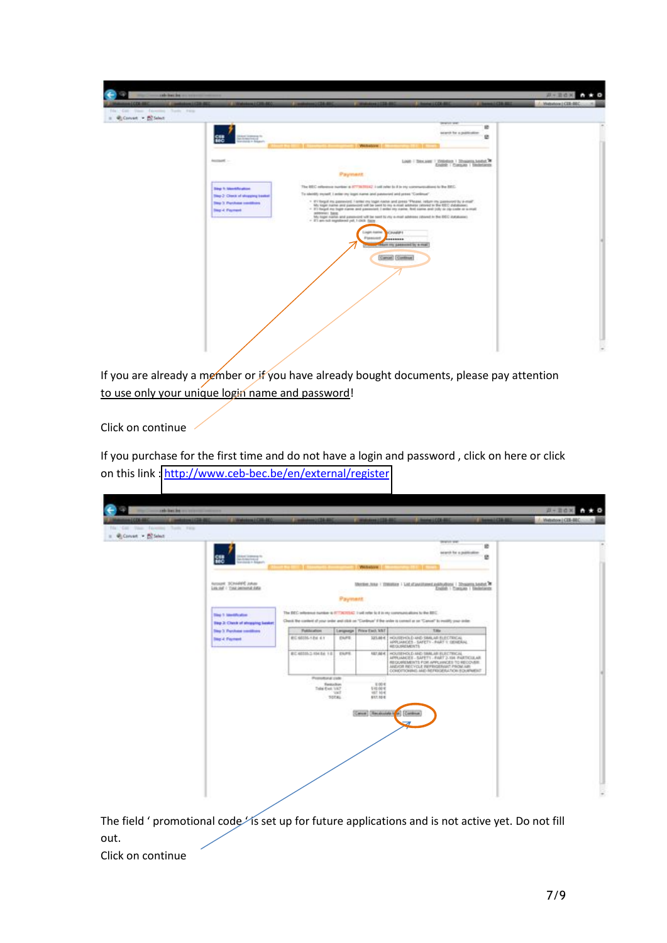| 4100644<br>Commission (1988-800)<br>The Car Vass Favoring Turk Firm<br>= @Convert > Bill Select | C CROWDED HEATS                                                                                                                     | <b>MADE DR. ALL</b><br><b>COMMERCIAL AND</b><br><b>Common</b>                                                                                                                                                                                                                                                                                                                                                                                                                                                                                                                                                                                                                                                                                                                                                     | <b>Linewatcher</b><br>tearch and                  | <b>COMMERCIAL</b> | 1. Midsaton LCES-BEC |
|-------------------------------------------------------------------------------------------------|-------------------------------------------------------------------------------------------------------------------------------------|-------------------------------------------------------------------------------------------------------------------------------------------------------------------------------------------------------------------------------------------------------------------------------------------------------------------------------------------------------------------------------------------------------------------------------------------------------------------------------------------------------------------------------------------------------------------------------------------------------------------------------------------------------------------------------------------------------------------------------------------------------------------------------------------------------------------|---------------------------------------------------|-------------------|----------------------|
|                                                                                                 | <b>BARTES</b><br>럟                                                                                                                  | <b>Websitzer</b>                                                                                                                                                                                                                                                                                                                                                                                                                                                                                                                                                                                                                                                                                                                                                                                                  | search for a publication                          | ×<br>٠            |                      |
|                                                                                                 | ROODERT<br>raansist                                                                                                                 | --<br>Payment.                                                                                                                                                                                                                                                                                                                                                                                                                                                                                                                                                                                                                                                                                                                                                                                                    | Linet   Trex.seer   Ohlindon   Shugara Andels, P. |                   |                      |
|                                                                                                 | <b>Sing 1: Martification</b><br>Tring 2: Check of shopping issuited<br><b>This 3 Parchase constitues</b><br><b>Step 4: Freyment</b> | The BEC reference number is ETT/BCREEZ I sell refer to it in my communications to the BEC.<br>To identify reynell, I action my login name and passes onl and press "Continual".<br>1 If I forget ins permised 1 arter my logit name and press "Please, return in passwort by 4-mail"<br>Ms hope name and parencies will be bent to my 4-mod address retored in the ISEC distances;<br>- IT1 forget my high name and password. I wille my name. But came and (city or inp credit or a mult<br>address: have<br>Ms logal marke and paramond will be sent to vice a mail solarises colored in the DEC dutabale).<br>- ITT am not regrate and pat. 1 click them<br>C.ingilt-kapine<br><b>ACRANGES</b><br><b>Patented</b><br><b>PERSONAL PROPERTY</b><br><b>The Columns of Assessment by A road</b><br>Cancel Continue |                                                   |                   |                      |

If you are already a member or if you have already bought documents, please pay attention to use only your unique login name and password!

Click on continue

If you purchase for the first time and do not have a login and password, click on here or click on this link : http://www.ceb-bec.be/en/external/register

| 100610<br>Commission Edith ROC<br>The Cast Year Taylories Turk Firm | <b>LINGMARK LEARNED</b>                                                   | 42238.00                                               |                | <b><i>COMMERCIAL</i></b>                                | <b>Lincoln LCCC A</b>                                                                                                                                                                                         |                                         | <b>COMMERCIAL</b> | / Metabook (CDE-BEC |
|---------------------------------------------------------------------|---------------------------------------------------------------------------|--------------------------------------------------------|----------------|---------------------------------------------------------|---------------------------------------------------------------------------------------------------------------------------------------------------------------------------------------------------------------|-----------------------------------------|-------------------|---------------------|
| = @Convert > Bill Select                                            |                                                                           |                                                        |                |                                                         |                                                                                                                                                                                                               | <b>SENSITIVE</b>                        |                   |                     |
|                                                                     | <b>BARRY</b><br>ИĆ                                                        |                                                        |                |                                                         |                                                                                                                                                                                                               | 瓣<br>search for a publication<br>×      |                   |                     |
|                                                                     | RODGER SCRAFFEE JUNIOR<br>Lin (of 1 Your personal data)                   |                                                        |                | <b>Webshire</b>                                         | Mective Avea / 2010/02/2   Lot of an other and hydrogic   Shearing Austral                                                                                                                                    | <b>English 1 Elanzuen 1 Elimentanek</b> |                   |                     |
|                                                                     | <b>Ting 1: Meetification</b><br><b>Blog Jr. Chask of elrogatog basket</b> |                                                        | <b>Payment</b> |                                                         | The BEC informal number is ETTACHTAG I set refer to it in my communications to the BEC.<br>Check the content of your order and click on "Continue" if the order is comed as on "Cancel" to modify your order. |                                         |                   |                     |
|                                                                     | <b>This 3 Parchase constitues</b>                                         | <b>Fulthington</b>                                     |                | Language   Frine Each MAT                               | Title                                                                                                                                                                                                         |                                         |                   |                     |
|                                                                     | <b>Step 4 Faynest</b>                                                     | <b>BC 6515-124 41</b>                                  | ENFE.          | 323.80 K                                                | HOUSEHOLD AND SMALAR ELECTRICAL<br>APPLIANCES - SAFETY - PART V OENERAL<br>REQUIREMENTS                                                                                                                       |                                         |                   |                     |
|                                                                     |                                                                           | <b>BC 6510-1-10-Ed 1-5 ENPS</b>                        |                | NET.00 K.                                               | HOUSEHOLD AND TANK AR ELECTRICAL<br>APPLIANCES - SAFETY - FAST 2, 126 PARTICULAR<br>REQUIREMENTS FOR APPLIVICES TO RECOVER.<br>AND/OR RECVOLE INFRIGERANT PROM.AIR<br>CONOTIONING AND REPRODUCTION EQUIPMENT  |                                         |                   |                     |
|                                                                     |                                                                           | Postenbonal code<br>Toritolbin<br>Trailed (East), VALT | VAT<br>TOTAL   | E100-E<br>510.00%<br>107, 104<br><b><i>NET.RD-E</i></b> |                                                                                                                                                                                                               |                                         |                   |                     |
|                                                                     |                                                                           |                                                        |                |                                                         | Cancel Smithshirle (a) Continue<br>⋑                                                                                                                                                                          |                                         |                   |                     |
|                                                                     |                                                                           |                                                        |                |                                                         |                                                                                                                                                                                                               |                                         |                   |                     |
|                                                                     |                                                                           |                                                        |                |                                                         |                                                                                                                                                                                                               |                                         |                   |                     |
|                                                                     |                                                                           |                                                        |                |                                                         |                                                                                                                                                                                                               |                                         |                   |                     |

The field ' promotional code's set up for future applications and is not active yet. Do not fill out.

Click on continue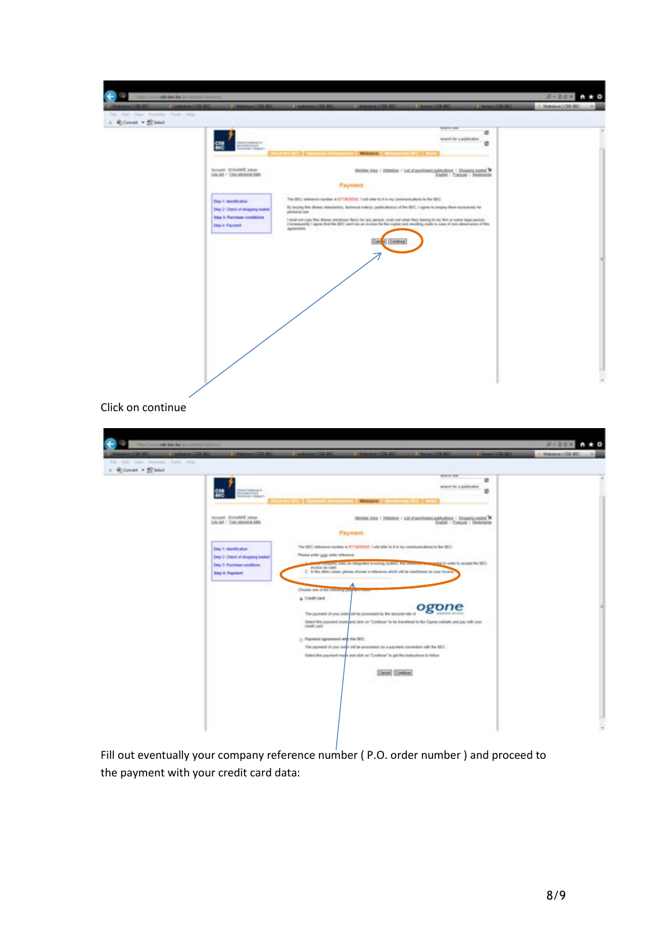

Click on continue

| = @Convert > ECSelect |                                                                          | <b>SENSITIVE</b><br>鄉<br>search for a publication                                                                                                                      |  |
|-----------------------|--------------------------------------------------------------------------|------------------------------------------------------------------------------------------------------------------------------------------------------------------------|--|
|                       | ᇜ<br>нċ                                                                  | e<br><b><i><u>Visibalize</u></i></b>                                                                                                                                   |  |
|                       | NOVARE SCINNERS JUNIOR<br>Los JoE - Tost personal data                   | <b>Meeting Aska / CONSTRUCT   LAB of partitioned auditorities   Directoria Automobile #</b><br>English 1 Transato 1 Studentando                                        |  |
|                       |                                                                          | Payment                                                                                                                                                                |  |
|                       | <b>Time 1: Membration</b>                                                | The BEC reflerence number is \$773635042 lived refer to 6 in my communications to the BEC.<br>Please syler your online reference.                                      |  |
|                       | They 2: Check of shopping treatest<br><b>They 3. Purchase conditions</b> | consumery water an integrated involving by them. The interest to accept the artist to accept the BEO<br>envision se vanó-                                              |  |
|                       | <b>Step &amp; Fayment</b>                                                | 2 In the other cause, please choose a reference which cell be meritored on your investe                                                                                |  |
|                       |                                                                          | л<br>Clinton are of the tomorry part                                                                                                                                   |  |
|                       |                                                                          | a. Cleat card                                                                                                                                                          |  |
|                       |                                                                          | ogone<br>The payment of your critic and the processed by the accuraci site of                                                                                          |  |
|                       |                                                                          | Select this positional mode and slice not "Continue" to be transitional to the Oppine website and pay with plant<br>UNIT-Lard                                          |  |
|                       |                                                                          | Payment agreement with the SEC.                                                                                                                                        |  |
|                       |                                                                          | The payment of your only will be processed you a payment convented with the BEC.<br>Select Bio psyment must sent stoll on "Centimia" to get the instructions to follow |  |
|                       |                                                                          |                                                                                                                                                                        |  |
|                       |                                                                          | Cancel Continue                                                                                                                                                        |  |
|                       |                                                                          |                                                                                                                                                                        |  |

Fill out eventually your company reference number (P.O. order number) and proceed to the payment with your credit card data: